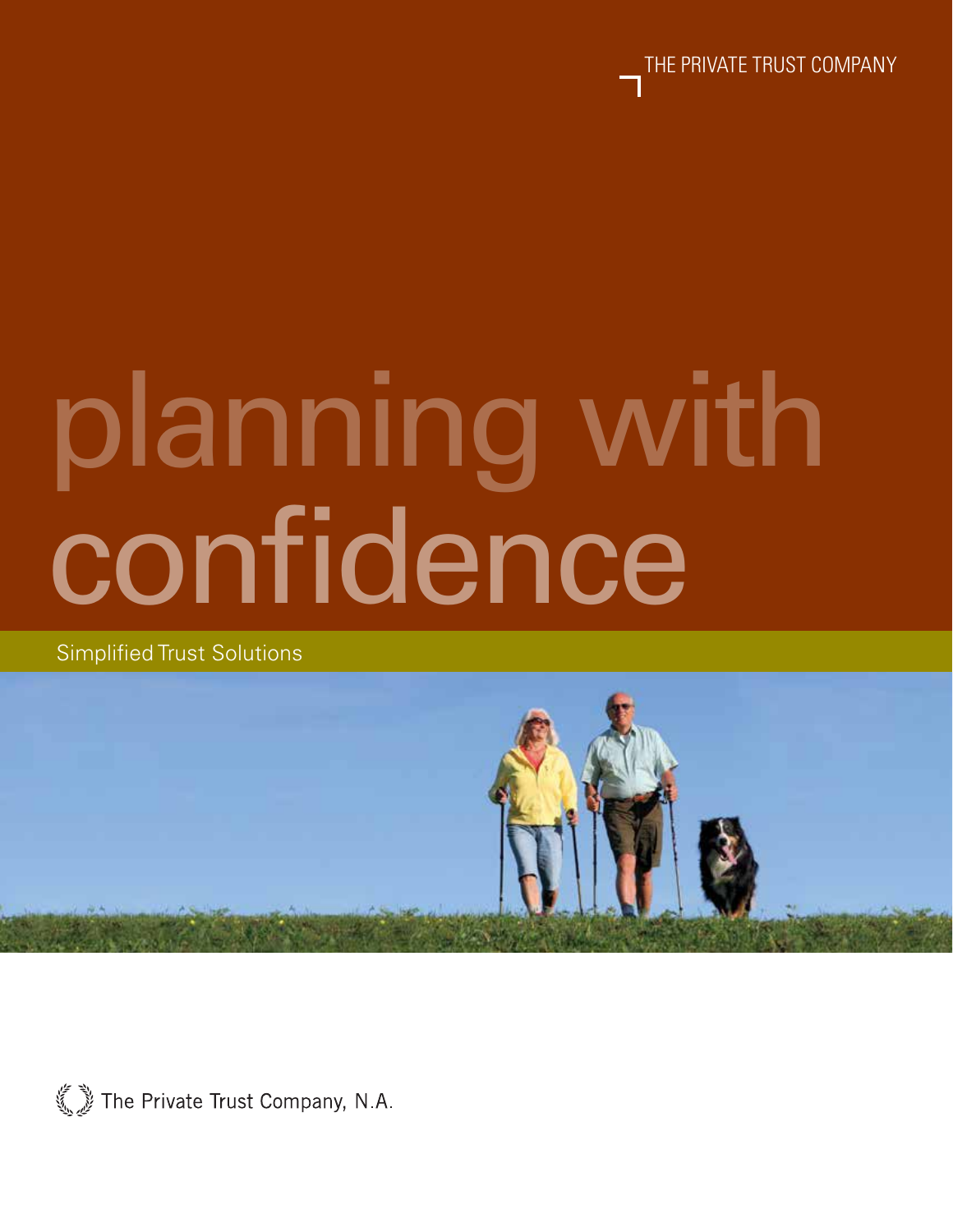

# confidence planning with

Simplified Trust Solutions



The Private Trust Company, N.A.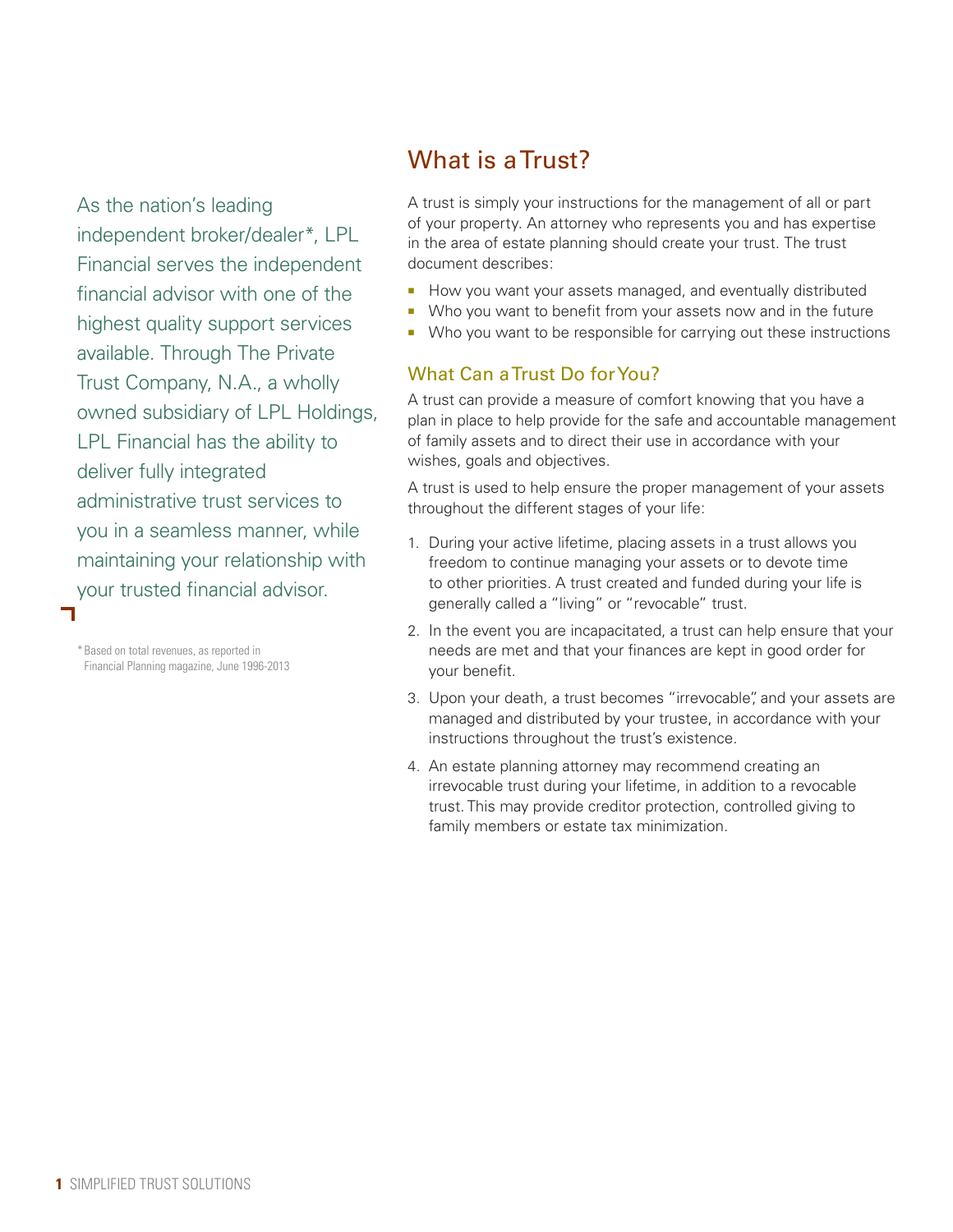As the nation's leading independent broker/dealer\*, LPL Financial serves the independent financial advisor with one of the highest quality support services available. Through The Private Trust Company, N.A., a wholly owned subsidiary of LPL Holdings, LPL Financial has the ability to deliver fully integrated administrative trust services to you in a seamless manner, while maintaining your relationship with your trusted financial advisor.

\*Based on total revenues, as reported in Financial Planning magazine, June 1996-2013

# What is a Trust?

A trust is simply your instructions for the management of all or part of your property. An attorney who represents you and has expertise in the area of estate planning should create your trust. The trust document describes:

- How you want your assets managed, and eventually distributed
- Who you want to benefit from your assets now and in the future
- **Who you want to be responsible for carrying out these instructions**

# What Can a Trust Do for You?

A trust can provide a measure of comfort knowing that you have a plan in place to help provide for the safe and accountable management of family assets and to direct their use in accordance with your wishes, goals and objectives.

A trust is used to help ensure the proper management of your assets throughout the different stages of your life:

- 1. During your active lifetime, placing assets in a trust allows you freedom to continue managing your assets or to devote time to other priorities. A trust created and funded during your life is generally called a "living" or "revocable" trust.
- 2. In the event you are incapacitated, a trust can help ensure that your needs are met and that your finances are kept in good order for your benefit.
- 3. Upon your death, a trust becomes "irrevocable", and your assets are managed and distributed by your trustee, in accordance with your instructions throughout the trust's existence.
- 4. An estate planning attorney may recommend creating an irrevocable trust during your lifetime, in addition to a revocable trust. This may provide creditor protection, controlled giving to family members or estate tax minimization.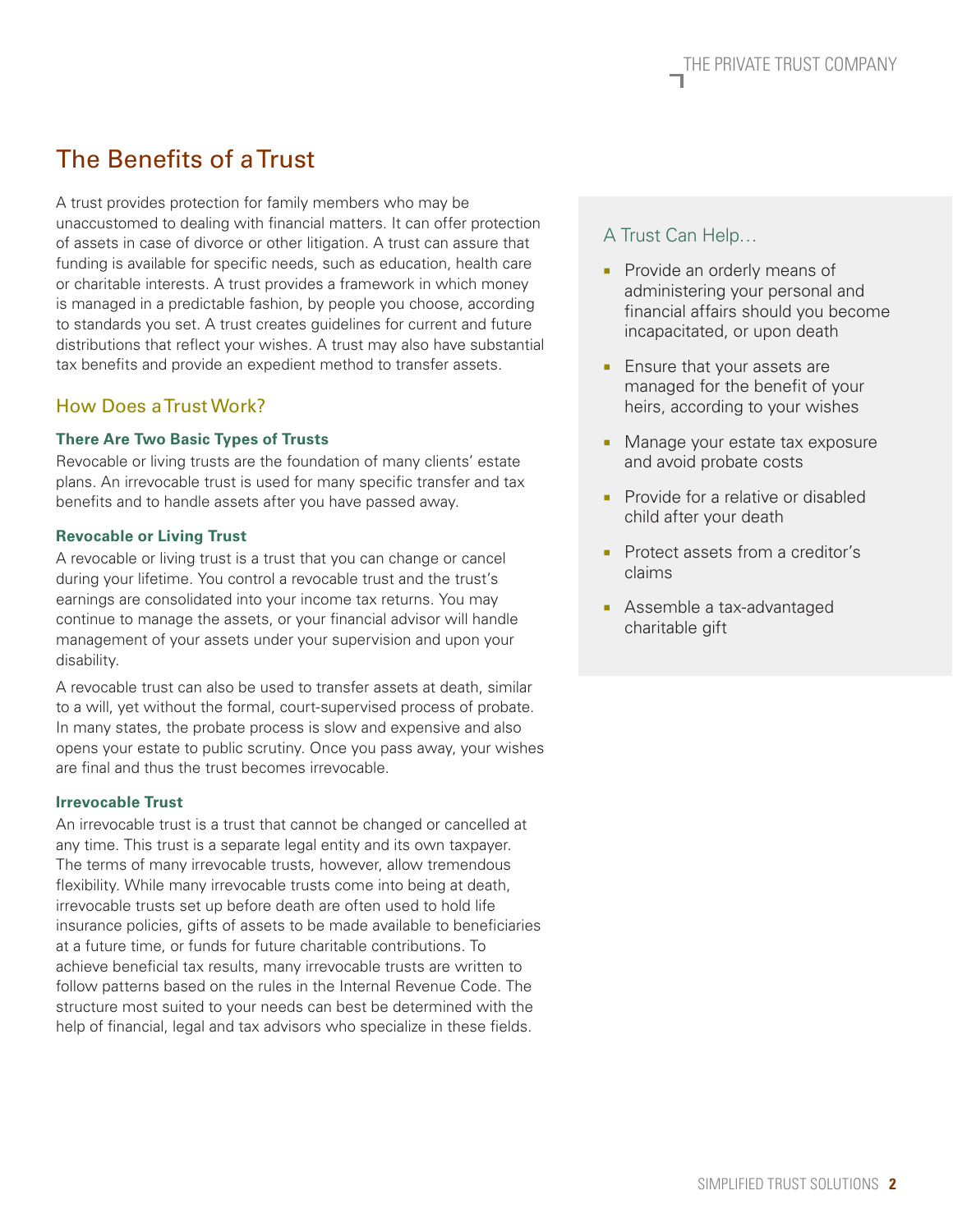# The Benefits of a Trust

A trust provides protection for family members who may be unaccustomed to dealing with financial matters. It can offer protection of assets in case of divorce or other litigation. A trust can assure that funding is available for specific needs, such as education, health care or charitable interests. A trust provides a framework in which money is managed in a predictable fashion, by people you choose, according to standards you set. A trust creates guidelines for current and future distributions that reflect your wishes. A trust may also have substantial tax benefits and provide an expedient method to transfer assets.

## How Does a Trust Work?

### **There Are Two Basic Types of Trusts**

Revocable or living trusts are the foundation of many clients' estate plans. An irrevocable trust is used for many specific transfer and tax benefits and to handle assets after you have passed away.

### **Revocable or Living Trust**

A revocable or living trust is a trust that you can change or cancel during your lifetime. You control a revocable trust and the trust's earnings are consolidated into your income tax returns. You may continue to manage the assets, or your financial advisor will handle management of your assets under your supervision and upon your disability.

A revocable trust can also be used to transfer assets at death, similar to a will, yet without the formal, court-supervised process of probate. In many states, the probate process is slow and expensive and also opens your estate to public scrutiny. Once you pass away, your wishes are final and thus the trust becomes irrevocable.

#### **Irrevocable Trust**

An irrevocable trust is a trust that cannot be changed or cancelled at any time. This trust is a separate legal entity and its own taxpayer. The terms of many irrevocable trusts, however, allow tremendous flexibility. While many irrevocable trusts come into being at death, irrevocable trusts set up before death are often used to hold life insurance policies, gifts of assets to be made available to beneficiaries at a future time, or funds for future charitable contributions. To achieve beneficial tax results, many irrevocable trusts are written to follow patterns based on the rules in the Internal Revenue Code. The structure most suited to your needs can best be determined with the help of financial, legal and tax advisors who specialize in these fields.

## A Trust Can Help…

- **Provide an orderly means of** administering your personal and financial affairs should you become incapacitated, or upon death
- **Ensure that your assets are** managed for the benefit of your heirs, according to your wishes
- **Manage your estate tax exposure** and avoid probate costs
- **Provide for a relative or disabled** child after your death
- Protect assets from a creditor's claims
- **Assemble a tax-advantaged** charitable gift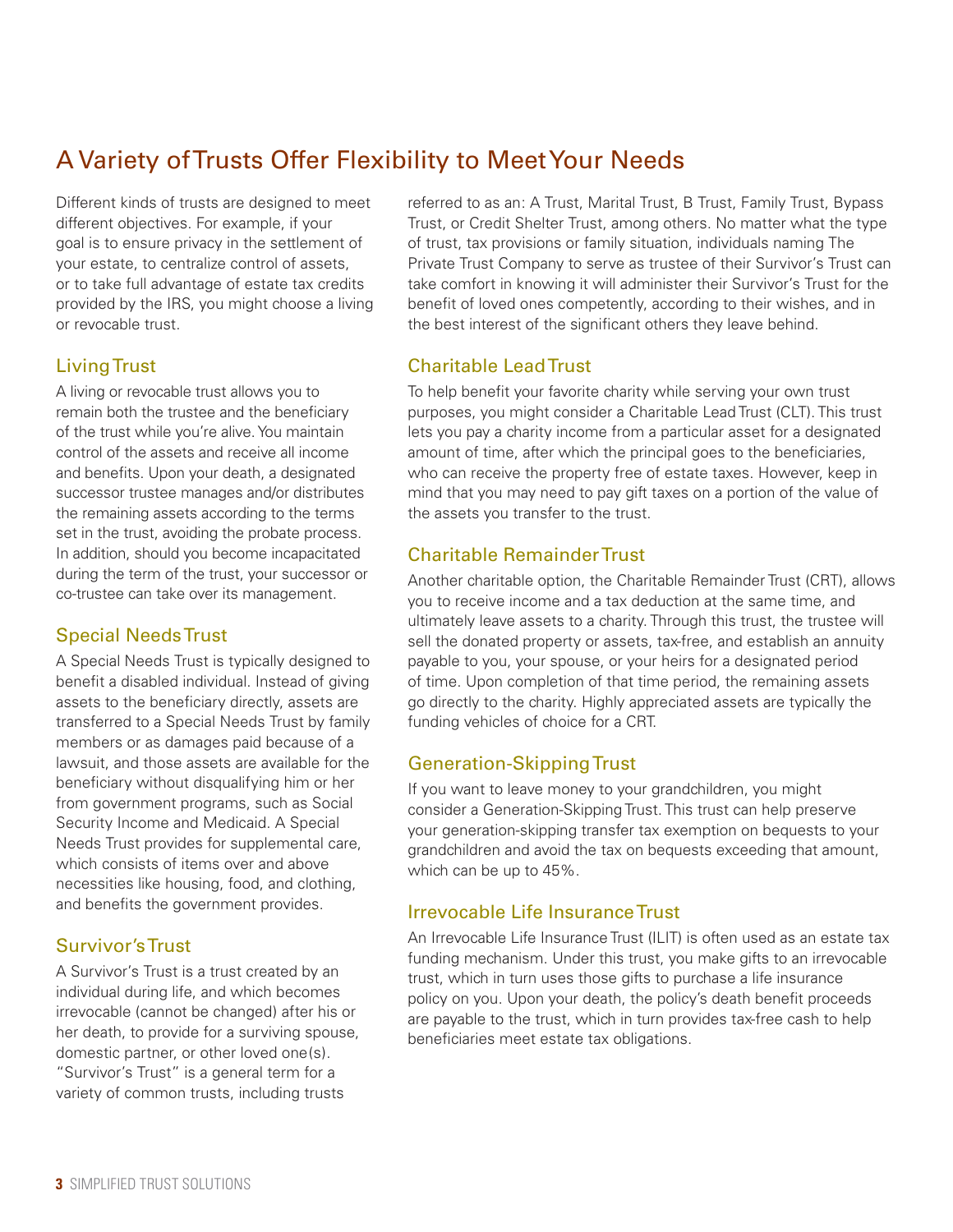# A Variety of Trusts Offer Flexibility to Meet Your Needs

Different kinds of trusts are designed to meet different objectives. For example, if your goal is to ensure privacy in the settlement of your estate, to centralize control of assets, or to take full advantage of estate tax credits provided by the IRS, you might choose a living or revocable trust.

# Living Trust

A living or revocable trust allows you to remain both the trustee and the beneficiary of the trust while you're alive. You maintain control of the assets and receive all income and benefits. Upon your death, a designated successor trustee manages and/or distributes the remaining assets according to the terms set in the trust, avoiding the probate process. In addition, should you become incapacitated during the term of the trust, your successor or co-trustee can take over its management.

# Special Needs Trust

A Special Needs Trust is typically designed to benefit a disabled individual. Instead of giving assets to the beneficiary directly, assets are transferred to a Special Needs Trust by family members or as damages paid because of a lawsuit, and those assets are available for the beneficiary without disqualifying him or her from government programs, such as Social Security Income and Medicaid. A Special Needs Trust provides for supplemental care, which consists of items over and above necessities like housing, food, and clothing, and benefits the government provides.

# Survivor's Trust

A Survivor's Trust is a trust created by an individual during life, and which becomes irrevocable (cannot be changed) after his or her death, to provide for a surviving spouse, domestic partner, or other loved one(s). "Survivor's Trust" is a general term for a variety of common trusts, including trusts

referred to as an: A Trust, Marital Trust, B Trust, Family Trust, Bypass Trust, or Credit Shelter Trust, among others. No matter what the type of trust, tax provisions or family situation, individuals naming The Private Trust Company to serve as trustee of their Survivor's Trust can take comfort in knowing it will administer their Survivor's Trust for the benefit of loved ones competently, according to their wishes, and in the best interest of the significant others they leave behind.

# Charitable Lead Trust

To help benefit your favorite charity while serving your own trust purposes, you might consider a Charitable Lead Trust (CLT). This trust lets you pay a charity income from a particular asset for a designated amount of time, after which the principal goes to the beneficiaries, who can receive the property free of estate taxes. However, keep in mind that you may need to pay gift taxes on a portion of the value of the assets you transfer to the trust.

# Charitable Remainder Trust

Another charitable option, the Charitable Remainder Trust (CRT), allows you to receive income and a tax deduction at the same time, and ultimately leave assets to a charity. Through this trust, the trustee will sell the donated property or assets, tax-free, and establish an annuity payable to you, your spouse, or your heirs for a designated period of time. Upon completion of that time period, the remaining assets go directly to the charity. Highly appreciated assets are typically the funding vehicles of choice for a CRT.

# Generation-Skipping Trust

If you want to leave money to your grandchildren, you might consider a Generation-Skipping Trust. This trust can help preserve your generation-skipping transfer tax exemption on bequests to your grandchildren and avoid the tax on bequests exceeding that amount, which can be up to 45%.

# Irrevocable Life Insurance Trust

An Irrevocable Life Insurance Trust (ILIT) is often used as an estate tax funding mechanism. Under this trust, you make gifts to an irrevocable trust, which in turn uses those gifts to purchase a life insurance policy on you. Upon your death, the policy's death benefit proceeds are payable to the trust, which in turn provides tax-free cash to help beneficiaries meet estate tax obligations.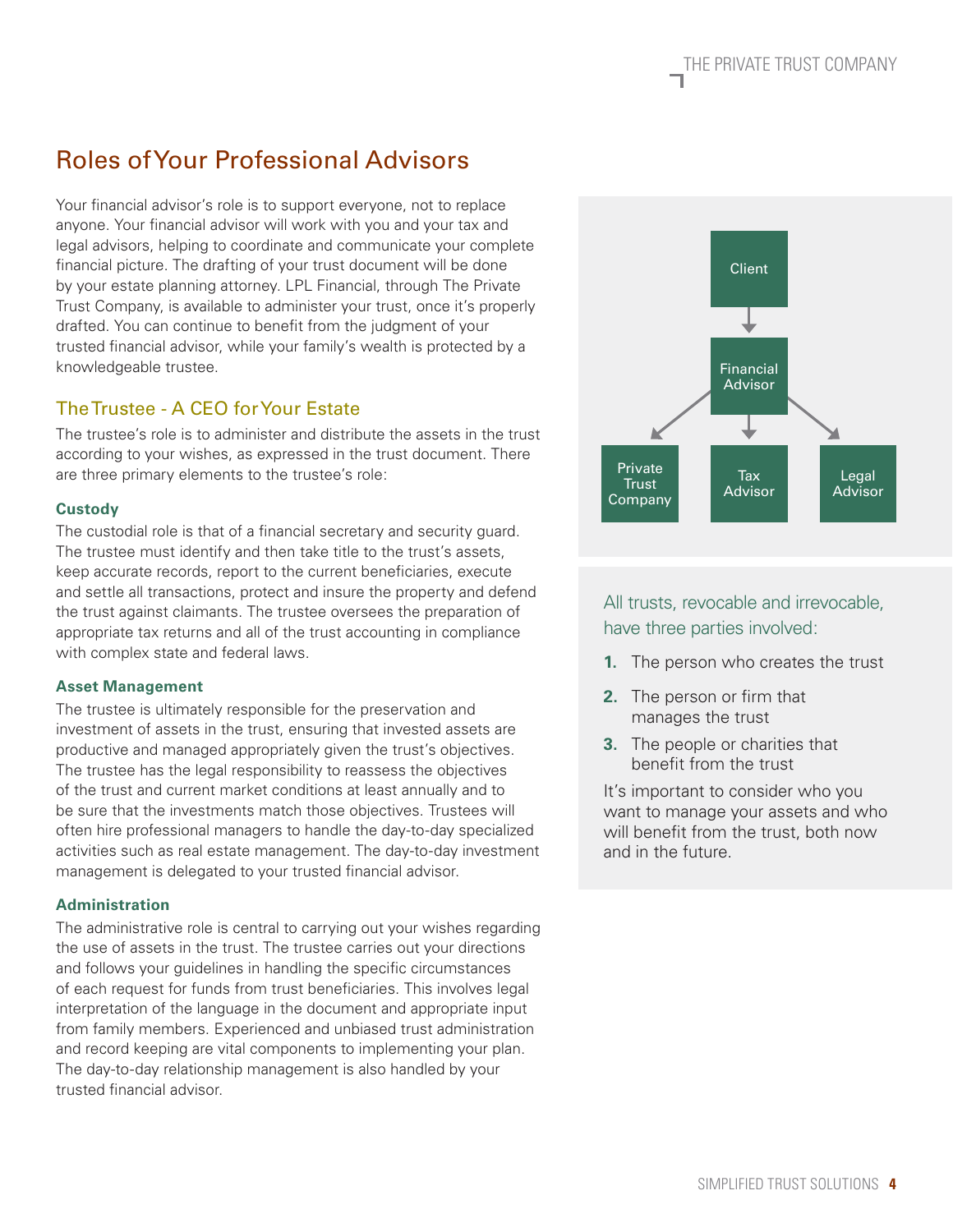# The Private Trust Company

# Roles of Your Professional Advisors

Your financial advisor's role is to support everyone, not to replace anyone. Your financial advisor will work with you and your tax and legal advisors, helping to coordinate and communicate your complete financial picture. The drafting of your trust document will be done by your estate planning attorney. LPL Financial, through The Private Trust Company, is available to administer your trust, once it's properly drafted. You can continue to benefit from the judgment of your trusted financial advisor, while your family's wealth is protected by a knowledgeable trustee.

## The Trustee - A CEO for Your Estate

The trustee's role is to administer and distribute the assets in the trust according to your wishes, as expressed in the trust document. There are three primary elements to the trustee's role:

## **Custody**

The custodial role is that of a financial secretary and security guard. The trustee must identify and then take title to the trust's assets, keep accurate records, report to the current beneficiaries, execute and settle all transactions, protect and insure the property and defend the trust against claimants. The trustee oversees the preparation of appropriate tax returns and all of the trust accounting in compliance with complex state and federal laws.

## **Asset Management**

The trustee is ultimately responsible for the preservation and investment of assets in the trust, ensuring that invested assets are productive and managed appropriately given the trust's objectives. The trustee has the legal responsibility to reassess the objectives of the trust and current market conditions at least annually and to be sure that the investments match those objectives. Trustees will often hire professional managers to handle the day-to-day specialized activities such as real estate management. The day-to-day investment management is delegated to your trusted financial advisor.

## **Administration**

The administrative role is central to carrying out your wishes regarding the use of assets in the trust. The trustee carries out your directions and follows your guidelines in handling the specific circumstances of each request for funds from trust beneficiaries. This involves legal interpretation of the language in the document and appropriate input from family members. Experienced and unbiased trust administration and record keeping are vital components to implementing your plan. The day-to-day relationship management is also handled by your trusted financial advisor.

All trusts, revocable and irrevocable,

have three parties involved:

- **1.** The person who creates the trust
- **2.** The person or firm that manages the trust
- **3.** The people or charities that benefit from the trust

It's important to consider who you want to manage your assets and who will benefit from the trust, both now and in the future.

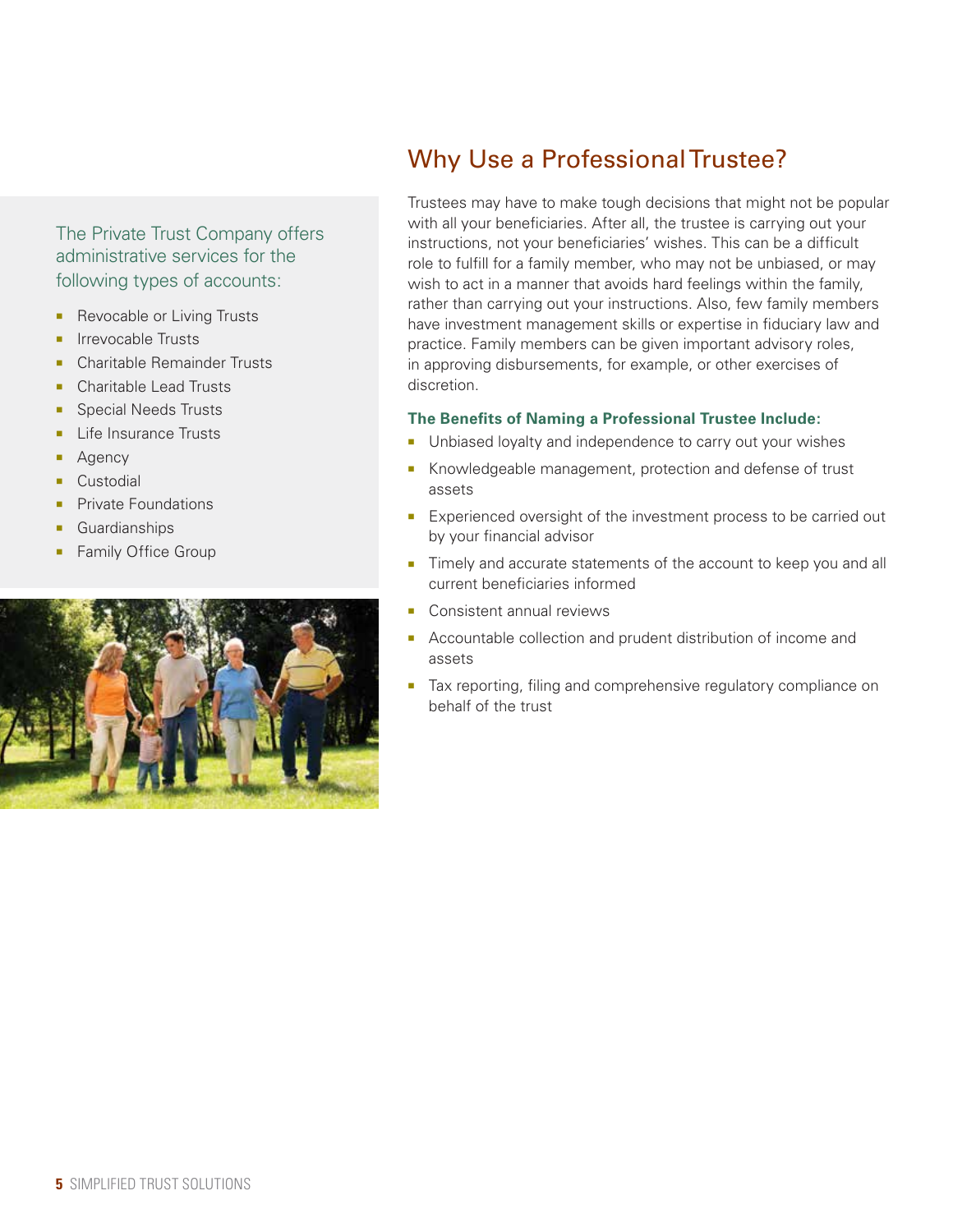## The Private Trust Company offers administrative services for the following types of accounts:

- Revocable or Living Trusts
- Irrevocable Trusts
- Charitable Remainder Trusts
- Charitable Lead Trusts
- Special Needs Trusts
- Life Insurance Trusts
- Agency
- Custodial
- Private Foundations
- Guardianships
- Family Office Group



# Why Use a Professional Trustee?

Trustees may have to make tough decisions that might not be popular with all your beneficiaries. After all, the trustee is carrying out your instructions, not your beneficiaries' wishes. This can be a difficult role to fulfill for a family member, who may not be unbiased, or may wish to act in a manner that avoids hard feelings within the family, rather than carrying out your instructions. Also, few family members have investment management skills or expertise in fiduciary law and practice. Family members can be given important advisory roles, in approving disbursements, for example, or other exercises of discretion.

## **The Benefits of Naming a Professional Trustee Include:**

- Unbiased loyalty and independence to carry out your wishes
- Knowledgeable management, protection and defense of trust assets
- **Experienced oversight of the investment process to be carried out** by your financial advisor
- Timely and accurate statements of the account to keep you and all current beneficiaries informed
- **Consistent annual reviews**
- **Accountable collection and prudent distribution of income and** assets
- Tax reporting, filing and comprehensive regulatory compliance on behalf of the trust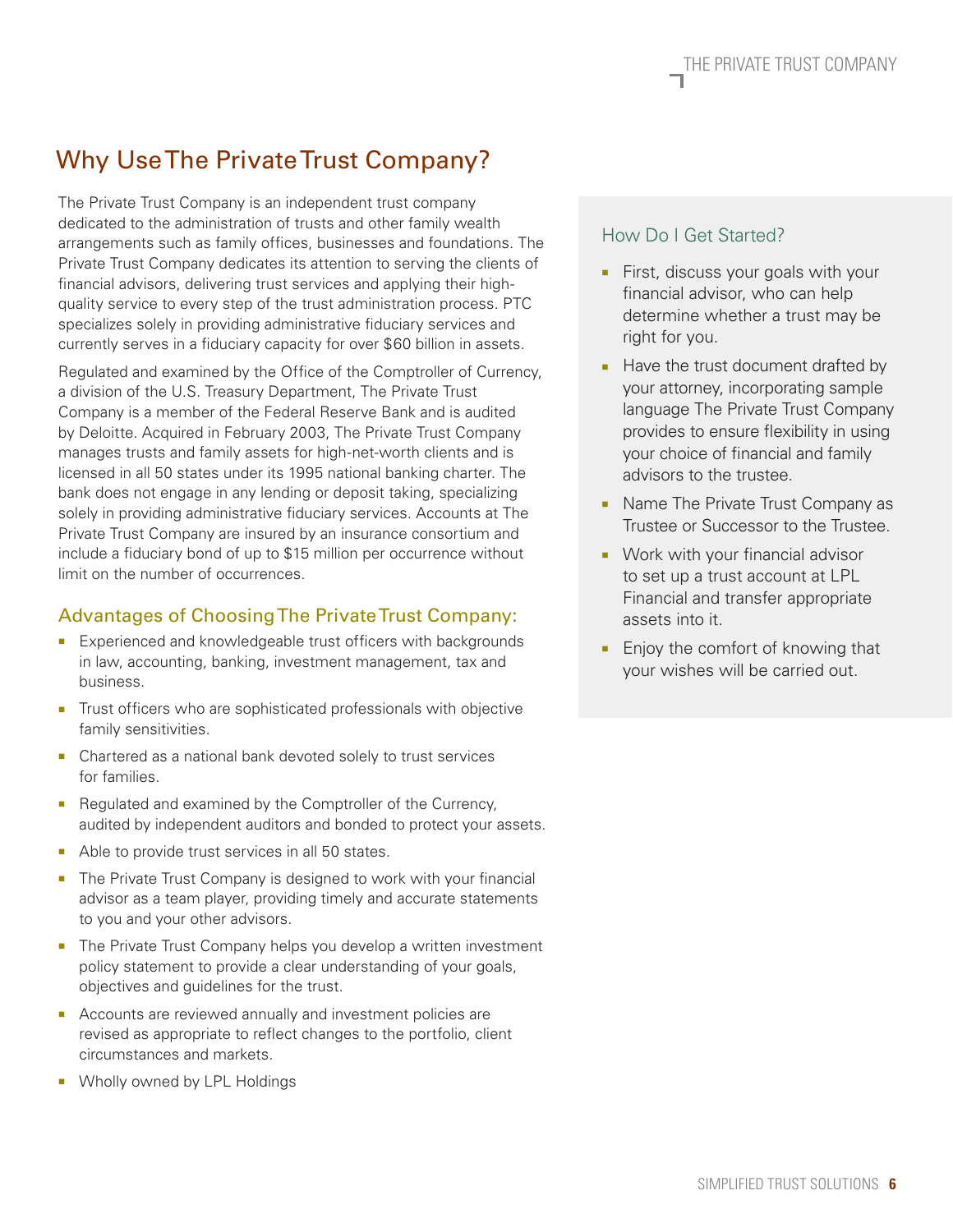# Why Use The Private Trust Company?

The Private Trust Company is an independent trust company dedicated to the administration of trusts and other family wealth arrangements such as family offices, businesses and foundations. The Private Trust Company dedicates its attention to serving the clients of financial advisors, delivering trust services and applying their highquality service to every step of the trust administration process. PTC specializes solely in providing administrative fiduciary services and currently serves in a fiduciary capacity for over \$60 billion in assets.

Regulated and examined by the Office of the Comptroller of Currency, a division of the U.S. Treasury Department, The Private Trust Company is a member of the Federal Reserve Bank and is audited by Deloitte. Acquired in February 2003, The Private Trust Company manages trusts and family assets for high-net-worth clients and is licensed in all 50 states under its 1995 national banking charter. The bank does not engage in any lending or deposit taking, specializing solely in providing administrative fiduciary services. Accounts at The Private Trust Company are insured by an insurance consortium and include a fiduciary bond of up to \$15 million per occurrence without limit on the number of occurrences.

## Advantages of Choosing The Private Trust Company:

- **Experienced and knowledgeable trust officers with backgrounds** in law, accounting, banking, investment management, tax and business.
- Trust officers who are sophisticated professionals with objective family sensitivities.
- Chartered as a national bank devoted solely to trust services for families.
- Regulated and examined by the Comptroller of the Currency, audited by independent auditors and bonded to protect your assets.
- Able to provide trust services in all 50 states.
- **The Private Trust Company is designed to work with your financial** advisor as a team player, providing timely and accurate statements to you and your other advisors.
- The Private Trust Company helps you develop a written investment policy statement to provide a clear understanding of your goals, objectives and guidelines for the trust.
- **Accounts are reviewed annually and investment policies are** revised as appropriate to reflect changes to the portfolio, client circumstances and markets.
- **Number** Wholly owned by LPL Holdings

## How Do I Get Started?

- **First, discuss your goals with your** financial advisor, who can help determine whether a trust may be right for you.
- Have the trust document drafted by your attorney, incorporating sample language The Private Trust Company provides to ensure flexibility in using your choice of financial and family advisors to the trustee.
- Name The Private Trust Company as Trustee or Successor to the Trustee.
- **Work with your financial advisor** to set up a trust account at LPL Financial and transfer appropriate assets into it.
- **Enjoy the comfort of knowing that** your wishes will be carried out.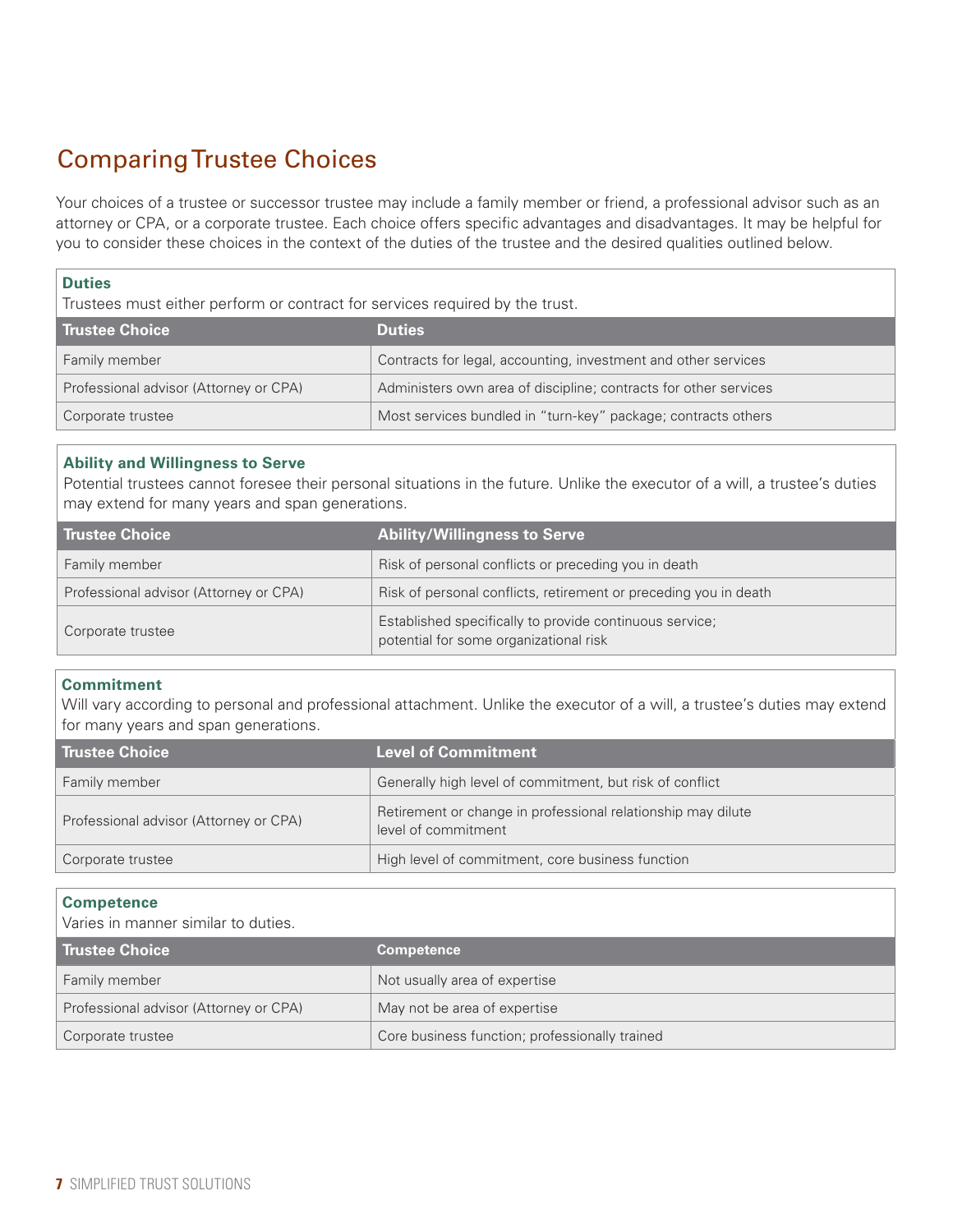# Comparing Trustee Choices

Your choices of a trustee or successor trustee may include a family member or friend, a professional advisor such as an attorney or CPA, or a corporate trustee. Each choice offers specific advantages and disadvantages. It may be helpful for you to consider these choices in the context of the duties of the trustee and the desired qualities outlined below.

### **Duties**

Trustees must either perform or contract for services required by the trust.

| Trustee Choice                         | <b>Duties</b>                                                    |
|----------------------------------------|------------------------------------------------------------------|
| Family member                          | Contracts for legal, accounting, investment and other services   |
| Professional advisor (Attorney or CPA) | Administers own area of discipline; contracts for other services |
| Corporate trustee                      | Most services bundled in "turn-key" package; contracts others    |

### **Ability and Willingness to Serve**

Potential trustees cannot foresee their personal situations in the future. Unlike the executor of a will, a trustee's duties may extend for many years and span generations.

| <b>Trustee Choice</b>                  | <b>Ability/Willingness to Serve</b>                                                               |
|----------------------------------------|---------------------------------------------------------------------------------------------------|
| Family member                          | Risk of personal conflicts or preceding you in death                                              |
| Professional advisor (Attorney or CPA) | Risk of personal conflicts, retirement or preceding you in death                                  |
| Corporate trustee                      | Established specifically to provide continuous service;<br>potential for some organizational risk |

### **Commitment**

Will vary according to personal and professional attachment. Unlike the executor of a will, a trustee's duties may extend for many years and span generations.

| Trustee Choice                         | <b>Level of Commitment</b>                                                          |
|----------------------------------------|-------------------------------------------------------------------------------------|
| Family member                          | Generally high level of commitment, but risk of conflict                            |
| Professional advisor (Attorney or CPA) | Retirement or change in professional relationship may dilute<br>level of commitment |
| Corporate trustee                      | High level of commitment, core business function                                    |

#### **Competence**

Varies in manner similar to duties.

| l Trustee Choice                       | <b>Competence</b>                              |
|----------------------------------------|------------------------------------------------|
| <b>Family member</b>                   | Not usually area of expertise                  |
| Professional advisor (Attorney or CPA) | May not be area of expertise                   |
| Corporate trustee                      | Core business function; professionally trained |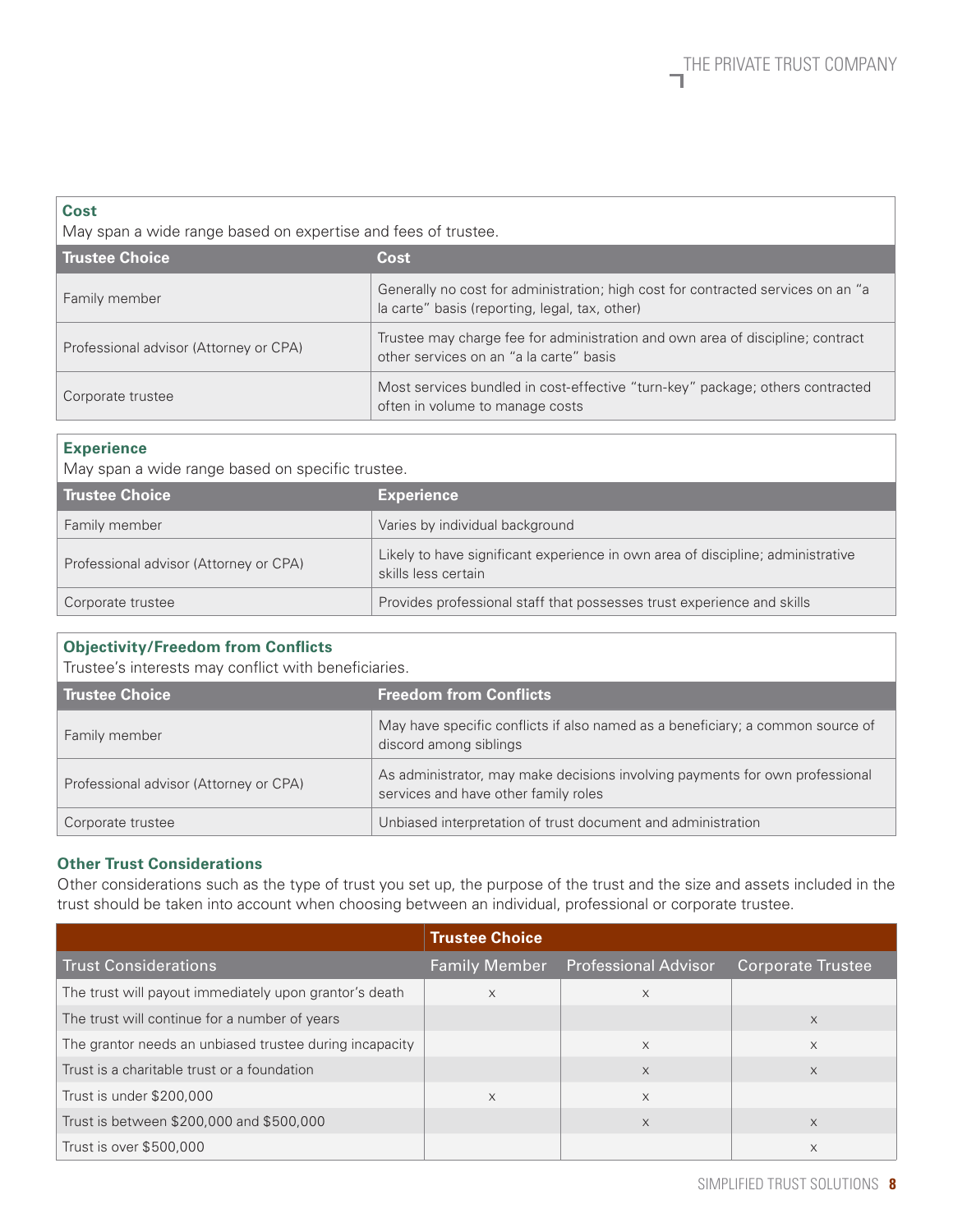#### **Cost**

May span a wide range based on expertise and fees of trustee.

| <b>Trustee Choice</b>                  | Cost                                                                                                                               |
|----------------------------------------|------------------------------------------------------------------------------------------------------------------------------------|
| Family member                          | Generally no cost for administration; high cost for contracted services on an "a<br>la carte" basis (reporting, legal, tax, other) |
| Professional advisor (Attorney or CPA) | Trustee may charge fee for administration and own area of discipline; contract<br>other services on an "a la carte" basis          |
| Corporate trustee                      | Most services bundled in cost-effective "turn-key" package; others contracted<br>often in volume to manage costs                   |

### **Experience**

May span a wide range based on specific trustee.

| <b>Trustee Choice</b>                  | <b>Experience</b>                                                                                      |
|----------------------------------------|--------------------------------------------------------------------------------------------------------|
| Family member                          | Varies by individual background                                                                        |
| Professional advisor (Attorney or CPA) | Likely to have significant experience in own area of discipline; administrative<br>skills less certain |
| Corporate trustee                      | Provides professional staff that possesses trust experience and skills                                 |

### **Objectivity/Freedom from Conflicts**

Trustee's interests may conflict with beneficiaries.

| <b>Trustee Choice</b>                  | <b>Freedom from Conflicts</b>                                                                                        |
|----------------------------------------|----------------------------------------------------------------------------------------------------------------------|
| Family member                          | May have specific conflicts if also named as a beneficiary; a common source of<br>discord among siblings             |
| Professional advisor (Attorney or CPA) | As administrator, may make decisions involving payments for own professional<br>services and have other family roles |
| Corporate trustee                      | Unbiased interpretation of trust document and administration                                                         |

## **Other Trust Considerations**

Other considerations such as the type of trust you set up, the purpose of the trust and the size and assets included in the trust should be taken into account when choosing between an individual, professional or corporate trustee.

|                                                         | <b>Trustee Choice</b> |                             |                          |
|---------------------------------------------------------|-----------------------|-----------------------------|--------------------------|
| <b>Trust Considerations</b>                             | <b>Family Member</b>  | <b>Professional Advisor</b> | <b>Corporate Trustee</b> |
| The trust will payout immediately upon grantor's death  | $\times$              | $\times$                    |                          |
| The trust will continue for a number of years           |                       |                             | X                        |
| The grantor needs an unbiased trustee during incapacity |                       | $\times$                    | X                        |
| Trust is a charitable trust or a foundation             |                       | X                           | $\times$                 |
| Trust is under \$200,000                                | $\times$              | X                           |                          |
| Trust is between \$200,000 and \$500,000                |                       | $\times$                    | $\times$                 |
| Trust is over \$500,000                                 |                       |                             | X                        |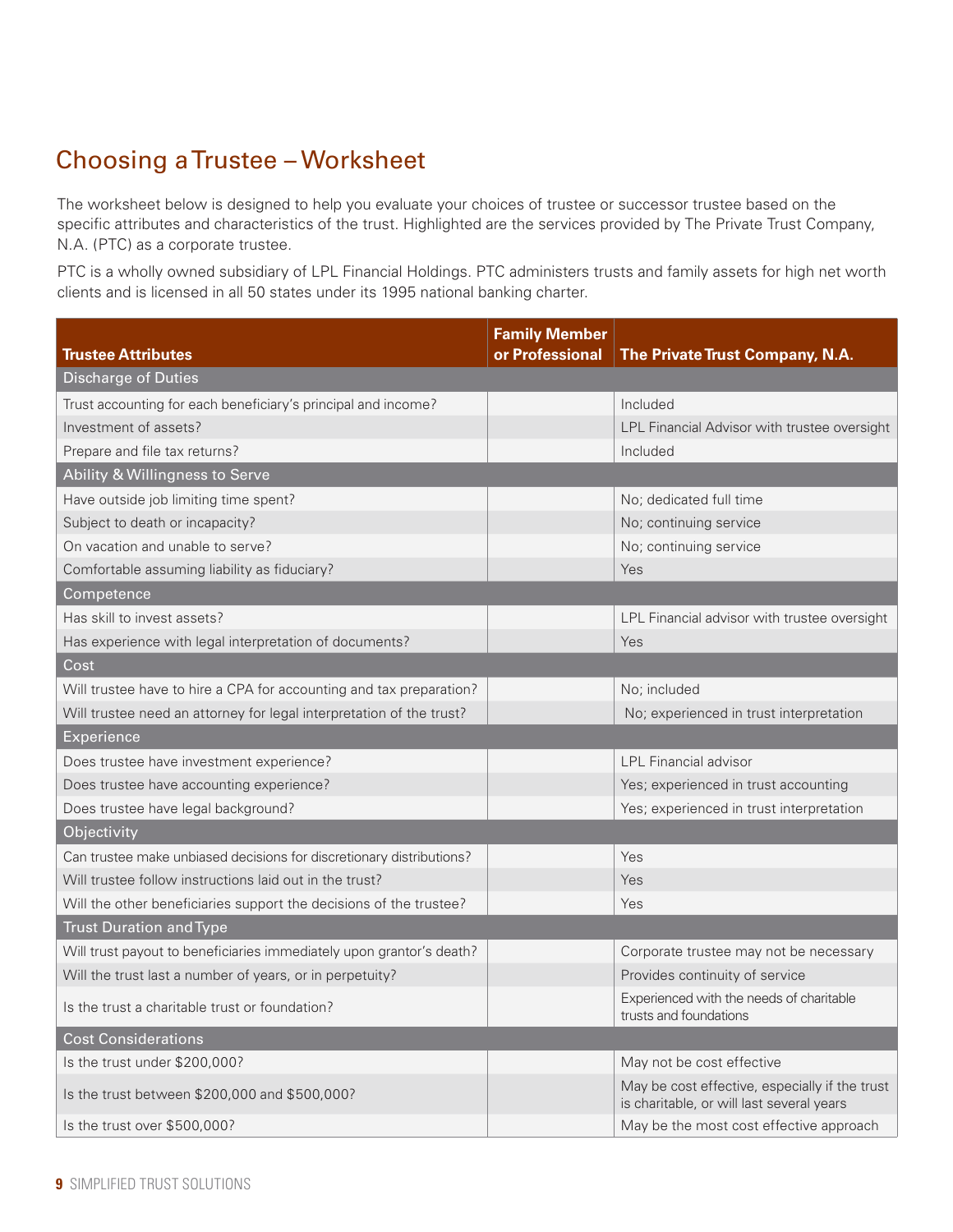# Choosing a Trustee – Worksheet

The worksheet below is designed to help you evaluate your choices of trustee or successor trustee based on the specific attributes and characteristics of the trust. Highlighted are the services provided by The Private Trust Company, N.A. (PTC) as a corporate trustee.

PTC is a wholly owned subsidiary of LPL Financial Holdings. PTC administers trusts and family assets for high net worth clients and is licensed in all 50 states under its 1995 national banking charter.

| <b>Trustee Attributes</b>                                            | <b>Family Member</b><br>or Professional | The Private Trust Company, N.A.                                                             |
|----------------------------------------------------------------------|-----------------------------------------|---------------------------------------------------------------------------------------------|
| <b>Discharge of Duties</b>                                           |                                         |                                                                                             |
| Trust accounting for each beneficiary's principal and income?        |                                         | Included                                                                                    |
| Investment of assets?                                                |                                         | LPL Financial Advisor with trustee oversight                                                |
| Prepare and file tax returns?                                        |                                         | Included                                                                                    |
| Ability & Willingness to Serve                                       |                                         |                                                                                             |
| Have outside job limiting time spent?                                |                                         | No; dedicated full time                                                                     |
| Subject to death or incapacity?                                      |                                         | No; continuing service                                                                      |
| On vacation and unable to serve?                                     |                                         | No; continuing service                                                                      |
| Comfortable assuming liability as fiduciary?                         |                                         | Yes                                                                                         |
| Competence                                                           |                                         |                                                                                             |
| Has skill to invest assets?                                          |                                         | LPL Financial advisor with trustee oversight                                                |
| Has experience with legal interpretation of documents?               |                                         | Yes                                                                                         |
| Cost                                                                 |                                         |                                                                                             |
| Will trustee have to hire a CPA for accounting and tax preparation?  |                                         | No; included                                                                                |
| Will trustee need an attorney for legal interpretation of the trust? |                                         | No; experienced in trust interpretation                                                     |
| Experience                                                           |                                         |                                                                                             |
| Does trustee have investment experience?                             |                                         | <b>LPL Financial advisor</b>                                                                |
| Does trustee have accounting experience?                             |                                         | Yes; experienced in trust accounting                                                        |
| Does trustee have legal background?                                  |                                         | Yes; experienced in trust interpretation                                                    |
| Objectivity                                                          |                                         |                                                                                             |
| Can trustee make unbiased decisions for discretionary distributions? |                                         | Yes                                                                                         |
| Will trustee follow instructions laid out in the trust?              |                                         | Yes                                                                                         |
| Will the other beneficiaries support the decisions of the trustee?   |                                         | Yes                                                                                         |
| <b>Trust Duration and Type</b>                                       |                                         |                                                                                             |
| Will trust payout to beneficiaries immediately upon grantor's death? |                                         | Corporate trustee may not be necessary                                                      |
| Will the trust last a number of years, or in perpetuity?             |                                         | Provides continuity of service                                                              |
| Is the trust a charitable trust or foundation?                       |                                         | Experienced with the needs of charitable<br>trusts and foundations                          |
| <b>Cost Considerations</b>                                           |                                         |                                                                                             |
| Is the trust under \$200,000?                                        |                                         | May not be cost effective                                                                   |
| Is the trust between \$200,000 and \$500,000?                        |                                         | May be cost effective, especially if the trust<br>is charitable, or will last several years |
| Is the trust over \$500,000?                                         |                                         | May be the most cost effective approach                                                     |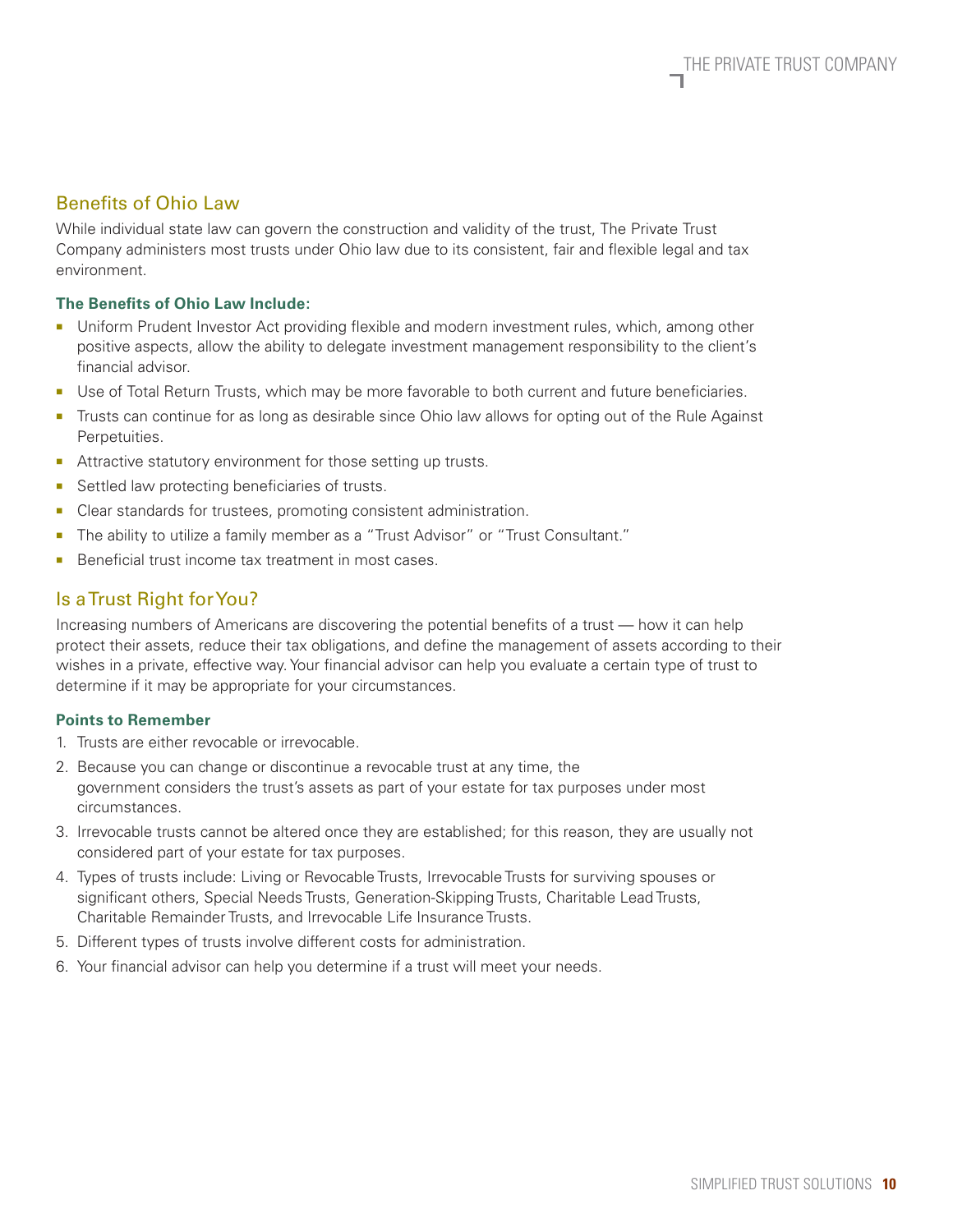## Benefits of Ohio Law

While individual state law can govern the construction and validity of the trust, The Private Trust Company administers most trusts under Ohio law due to its consistent, fair and flexible legal and tax environment.

## **The Benefits of Ohio Law Include:**

- Uniform Prudent Investor Act providing flexible and modern investment rules, which, among other positive aspects, allow the ability to delegate investment management responsibility to the client's financial advisor.
- Use of Total Return Trusts, which may be more favorable to both current and future beneficiaries.
- Trusts can continue for as long as desirable since Ohio law allows for opting out of the Rule Against Perpetuities.
- Attractive statutory environment for those setting up trusts.
- Settled law protecting beneficiaries of trusts.
- Clear standards for trustees, promoting consistent administration.
- The ability to utilize a family member as a "Trust Advisor" or "Trust Consultant."
- Beneficial trust income tax treatment in most cases.

## Is a Trust Right for You?

Increasing numbers of Americans are discovering the potential benefits of a trust — how it can help protect their assets, reduce their tax obligations, and define the management of assets according to their wishes in a private, effective way. Your financial advisor can help you evaluate a certain type of trust to determine if it may be appropriate for your circumstances.

#### **Points to Remember**

- 1. Trusts are either revocable or irrevocable.
- 2. Because you can change or discontinue a revocable trust at any time, the government considers the trust's assets as part of your estate for tax purposes under most circumstances.
- 3. Irrevocable trusts cannot be altered once they are established; for this reason, they are usually not considered part of your estate for tax purposes.
- 4. Types of trusts include: Living or Revocable Trusts, Irrevocable Trusts for surviving spouses or significant others, Special Needs Trusts, Generation-Skipping Trusts, Charitable Lead Trusts, Charitable Remainder Trusts, and Irrevocable Life Insurance Trusts.
- 5. Different types of trusts involve different costs for administration.
- 6. Your financial advisor can help you determine if a trust will meet your needs.